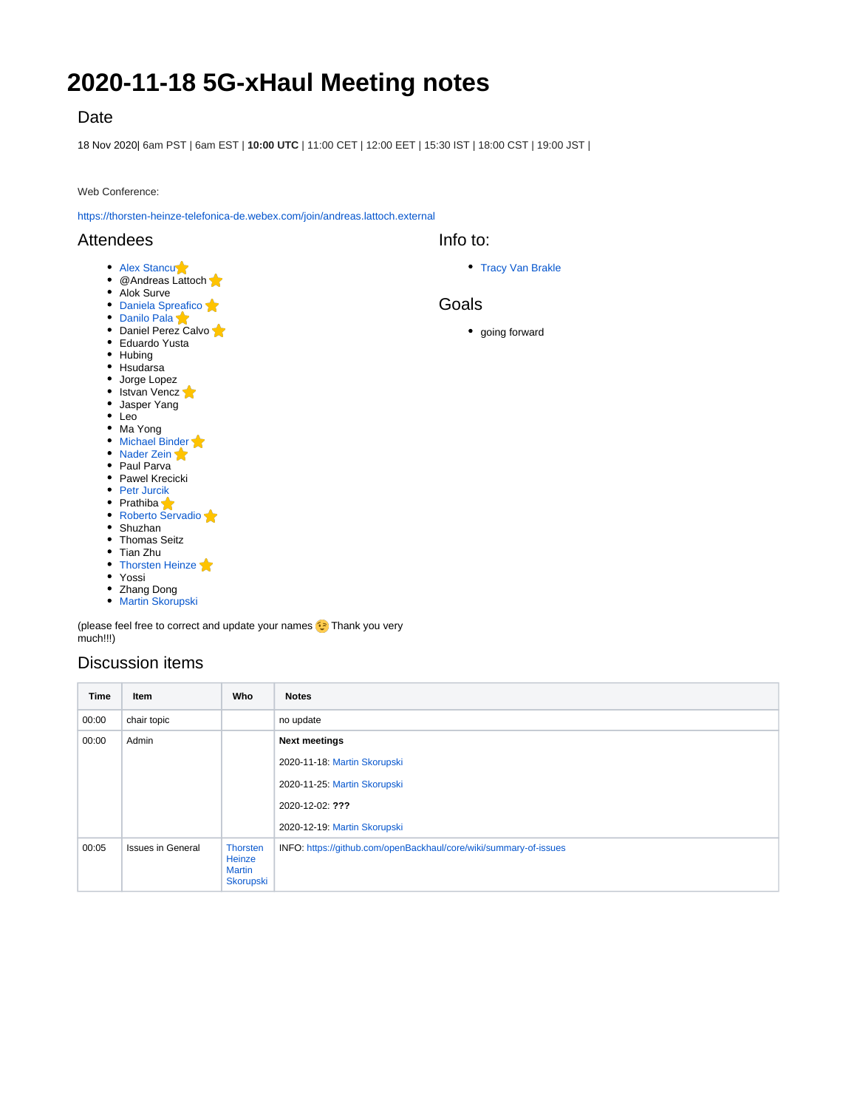# **2020-11-18 5G-xHaul Meeting notes**

# Date

18 Nov 2020| 6am PST | 6am EST | **10:00 UTC** | 11:00 CET | 12:00 EET | 15:30 IST | 18:00 CST | 19:00 JST |

Web Conference:

<https://thorsten-heinze-telefonica-de.webex.com/join/andreas.lattoch.external>

### **Attendees**

#### • [Alex Stancu](https://wiki.opennetworking.org/display/~alexandrus)

- @Andreas Lattoch
- Alok Surve
- [Daniela Spreafico](https://wiki.opennetworking.org/display/~spreafico.daniela)
- [Danilo Pala](https://wiki.opennetworking.org/display/~danilo.pala) • Daniel Perez Calvo
- Eduardo Yusta
- Hubing
- Hsudarsa
- Jorge Lopez
- $\bullet$  Istvan Vencz
- Jasper Yang
- Leo
- Ma Yong
- [Michael Binder](https://wiki.opennetworking.org/display/~michael.binder)
- [Nader Zein](https://wiki.opennetworking.org/display/~nader.zein)
- Paul Parva • Pawel Krecicki
- [Petr Jurcik](https://wiki.opennetworking.org/display/~petr.jurcik)
- Prathiba
- [Roberto Servadio](https://wiki.opennetworking.org/display/~roberto.servadio)
- Shuzhan
- Thomas Seitz
- Tian Zhu
- [Thorsten Heinze](https://wiki.opennetworking.org/display/~thorsten.heinze)
- Yossi
- Zhang Dong
- [Martin Skorupski](https://wiki.opennetworking.org/display/~demx8as6)

(please feel free to correct and update your names  $\odot$  Thank you very much!!!)

# Discussion items

| Time  | Item                     | Who                                              | <b>Notes</b>                                                      |
|-------|--------------------------|--------------------------------------------------|-------------------------------------------------------------------|
| 00:00 | chair topic              |                                                  | no update                                                         |
| 00:00 | Admin                    |                                                  | <b>Next meetings</b>                                              |
|       |                          |                                                  | 2020-11-18: Martin Skorupski                                      |
|       |                          |                                                  | 2020-11-25: Martin Skorupski                                      |
|       |                          |                                                  | 2020-12-02: ???                                                   |
|       |                          |                                                  | 2020-12-19: Martin Skorupski                                      |
| 00:05 | <b>Issues in General</b> | Thorsten<br>Heinze<br><b>Martin</b><br>Skorupski | INFO: https://github.com/openBackhaul/core/wiki/summary-of-issues |

• [Tracy Van Brakle](https://wiki.opennetworking.org/display/~tracyvb)

## Goals

Info to:

going forward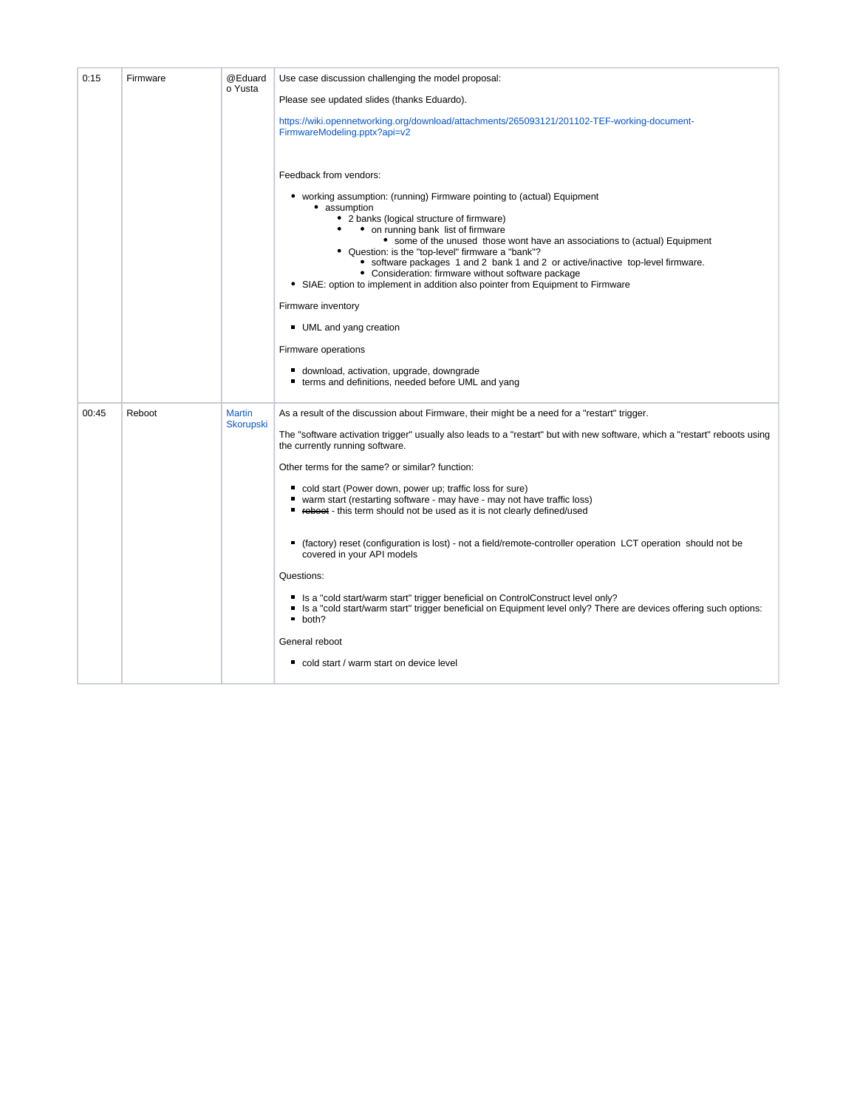| 0:15  | Firmware | @Eduard                           | Use case discussion challenging the model proposal:                                                                                                                                                                                                                                                                                                                                                                                                                                                                                                                                                                                                                                                                                                                                                                                                                                                                                                                                 |
|-------|----------|-----------------------------------|-------------------------------------------------------------------------------------------------------------------------------------------------------------------------------------------------------------------------------------------------------------------------------------------------------------------------------------------------------------------------------------------------------------------------------------------------------------------------------------------------------------------------------------------------------------------------------------------------------------------------------------------------------------------------------------------------------------------------------------------------------------------------------------------------------------------------------------------------------------------------------------------------------------------------------------------------------------------------------------|
|       |          | o Yusta                           | Please see updated slides (thanks Eduardo).                                                                                                                                                                                                                                                                                                                                                                                                                                                                                                                                                                                                                                                                                                                                                                                                                                                                                                                                         |
|       |          |                                   | https://wiki.opennetworking.org/download/attachments/265093121/201102-TEF-working-document-<br>FirmwareModeling.pptx?api=v2                                                                                                                                                                                                                                                                                                                                                                                                                                                                                                                                                                                                                                                                                                                                                                                                                                                         |
|       |          |                                   | Feedback from vendors:<br>• working assumption: (running) Firmware pointing to (actual) Equipment<br>• assumption<br>• 2 banks (logical structure of firmware)<br>• on running bank list of firmware<br>• some of the unused those wont have an associations to (actual) Equipment<br>• Question: is the "top-level" firmware a "bank"?<br>• software packages 1 and 2 bank 1 and 2 or active/inactive top-level firmware.<br>• Consideration: firmware without software package<br>• SIAE: option to implement in addition also pointer from Equipment to Firmware<br>Firmware inventory<br>UML and yang creation<br>Firmware operations<br>download, activation, upgrade, downgrade<br>terms and definitions, needed before UML and yang                                                                                                                                                                                                                                          |
| 00:45 | Reboot   | <b>Martin</b><br><b>Skorupski</b> | As a result of the discussion about Firmware, their might be a need for a "restart" trigger.<br>The "software activation trigger" usually also leads to a "restart" but with new software, which a "restart" reboots using<br>the currently running software.<br>Other terms for the same? or similar? function:<br>cold start (Power down, power up; traffic loss for sure)<br>■ warm start (restarting software - may have - may not have traffic loss)<br>reboot - this term should not be used as it is not clearly defined/used<br>■ (factory) reset (configuration is lost) - not a field/remote-controller operation LCT operation should not be<br>covered in your API models<br>Questions:<br>Is a "cold start/warm start" trigger beneficial on ControlConstruct level only?<br>Is a "cold start/warm start" trigger beneficial on Equipment level only? There are devices offering such options:<br>" both?<br>General reboot<br>cold start / warm start on device level |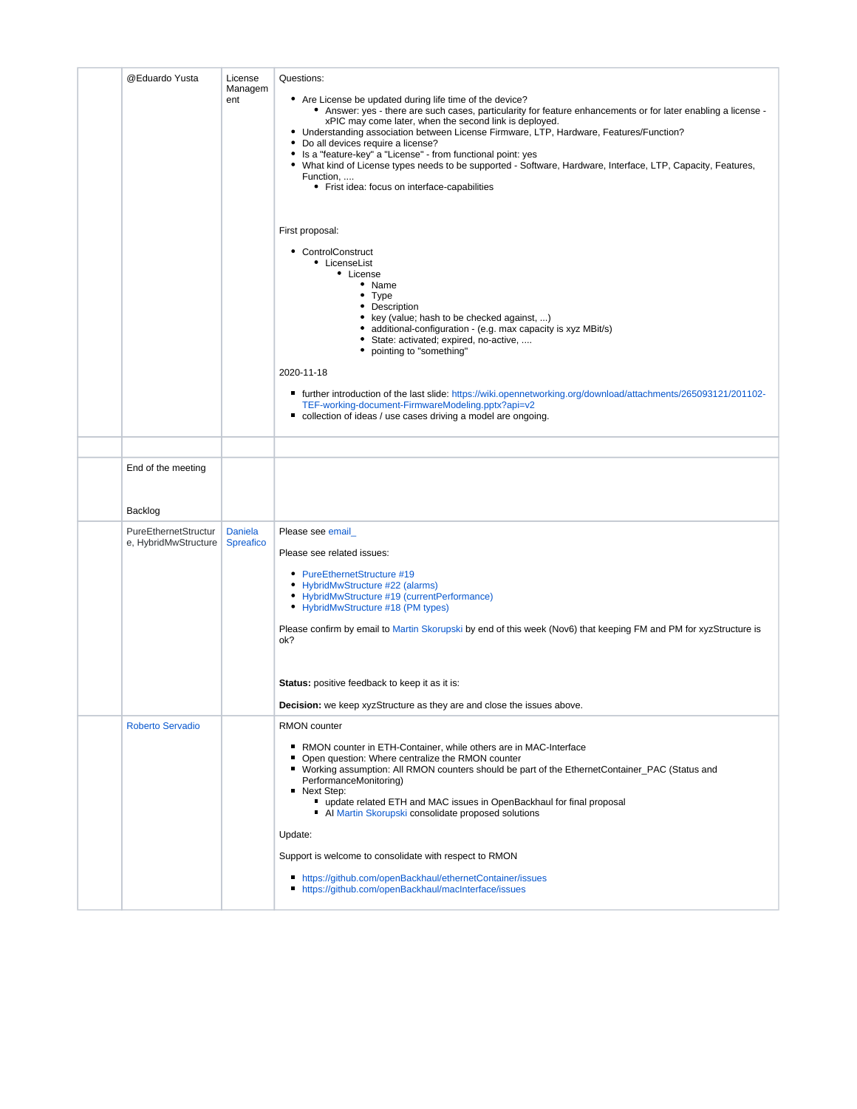| @Eduardo Yusta                               | License<br>Managem<br>ent          | Questions:<br>• Are License be updated during life time of the device?<br>• Answer: yes - there are such cases, particularity for feature enhancements or for later enabling a license -<br>xPIC may come later, when the second link is deployed.<br>• Understanding association between License Firmware, LTP, Hardware, Features/Function?<br>• Do all devices require a license?<br>• Is a "feature-key" a "License" - from functional point: yes<br>• What kind of License types needs to be supported - Software, Hardware, Interface, LTP, Capacity, Features,<br>Function,<br>• Frist idea: focus on interface-capabilities |
|----------------------------------------------|------------------------------------|-------------------------------------------------------------------------------------------------------------------------------------------------------------------------------------------------------------------------------------------------------------------------------------------------------------------------------------------------------------------------------------------------------------------------------------------------------------------------------------------------------------------------------------------------------------------------------------------------------------------------------------|
|                                              |                                    | First proposal:<br>• ControlConstruct<br>• LicenseList<br>• License<br>$\bullet$ Name<br>$\bullet$ Type<br>• Description<br>• key (value; hash to be checked against, )<br>• additional-configuration - (e.g. max capacity is xyz MBit/s)<br>• State: activated; expired, no-active,<br>• pointing to "something"                                                                                                                                                                                                                                                                                                                   |
|                                              |                                    | 2020-11-18<br>■ further introduction of the last slide: https://wiki.opennetworking.org/download/attachments/265093121/201102-<br>TEF-working-document-FirmwareModeling.pptx?api=v2<br>collection of ideas / use cases driving a model are ongoing.                                                                                                                                                                                                                                                                                                                                                                                 |
|                                              |                                    |                                                                                                                                                                                                                                                                                                                                                                                                                                                                                                                                                                                                                                     |
| End of the meeting                           |                                    |                                                                                                                                                                                                                                                                                                                                                                                                                                                                                                                                                                                                                                     |
| Backlog                                      |                                    |                                                                                                                                                                                                                                                                                                                                                                                                                                                                                                                                                                                                                                     |
| PureEthernetStructur<br>e, HybridMwStructure | <b>Daniela</b><br><b>Spreafico</b> | Please see email<br>Please see related issues:<br>• PureEthernetStructure #19<br>• HybridMwStructure #22 (alarms)<br>• HybridMwStructure #19 (currentPerformance)<br>• HybridMwStructure #18 (PM types)<br>Please confirm by email to Martin Skorupski by end of this week (Nov6) that keeping FM and PM for xyzStructure is<br>ok?                                                                                                                                                                                                                                                                                                 |
|                                              |                                    | <b>Status:</b> positive feedback to keep it as it is:                                                                                                                                                                                                                                                                                                                                                                                                                                                                                                                                                                               |
|                                              |                                    | <b>Decision:</b> we keep xyzStructure as they are and close the issues above.                                                                                                                                                                                                                                                                                                                                                                                                                                                                                                                                                       |
| <b>Roberto Servadio</b>                      |                                    | RMON counter<br>RMON counter in ETH-Container, while others are in MAC-Interface<br>Open question: Where centralize the RMON counter<br>■ Working assumption: All RMON counters should be part of the EthernetContainer_PAC (Status and<br>PerformanceMonitoring)<br>• Next Step:<br>" update related ETH and MAC issues in OpenBackhaul for final proposal<br>Al Martin Skorupski consolidate proposed solutions<br>Update:<br>Support is welcome to consolidate with respect to RMON<br>https://github.com/openBackhaul/ethernetContainer/issues<br>https://github.com/openBackhaul/macInterface/issues                           |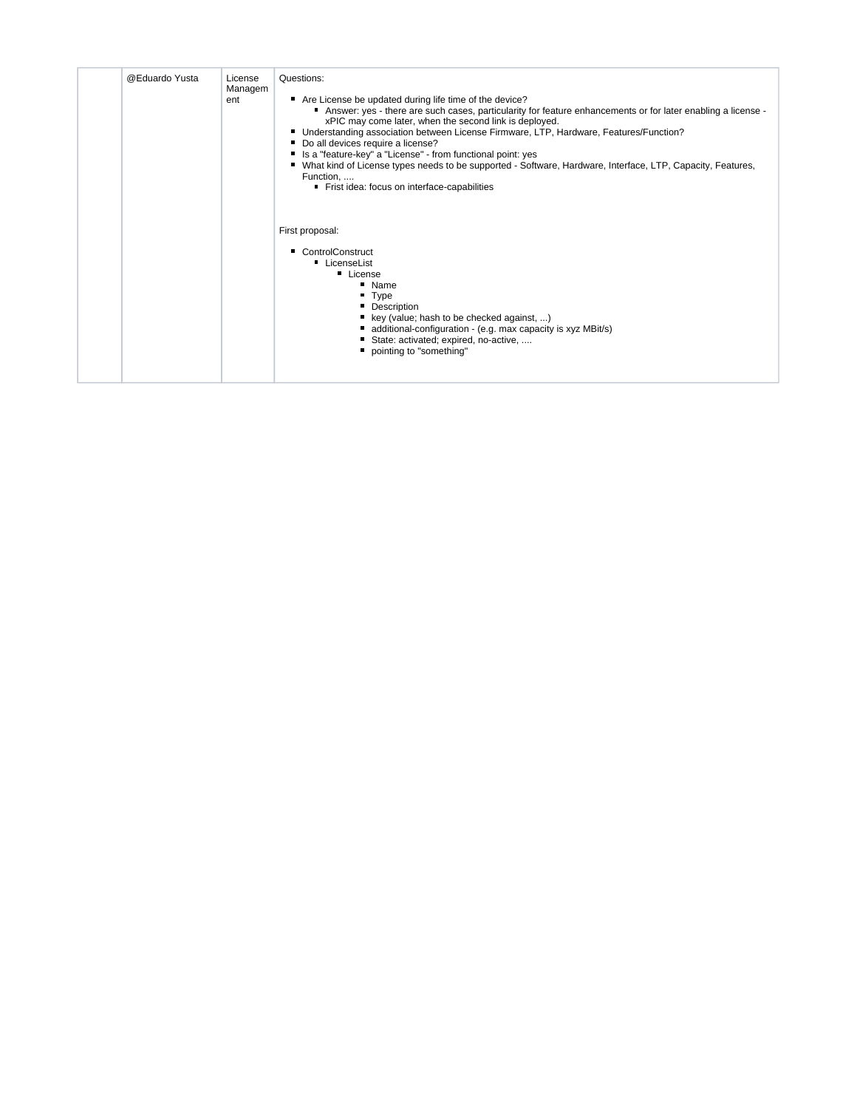| @Eduardo Yusta | License<br>Managem<br>ent | Questions:<br>Are License be updated during life time of the device?<br>■ Answer: yes - there are such cases, particularity for feature enhancements or for later enabling a license -<br>xPIC may come later, when the second link is deployed.<br>■ Understanding association between License Firmware, LTP, Hardware, Features/Function?<br>Do all devices require a license?<br>Is a "feature-key" a "License" - from functional point: yes<br>■ What kind of License types needs to be supported - Software, Hardware, Interface, LTP, Capacity, Features,<br>Function<br>Frist idea: focus on interface-capabilities |
|----------------|---------------------------|----------------------------------------------------------------------------------------------------------------------------------------------------------------------------------------------------------------------------------------------------------------------------------------------------------------------------------------------------------------------------------------------------------------------------------------------------------------------------------------------------------------------------------------------------------------------------------------------------------------------------|
|                |                           | First proposal:<br>ControlConstruct<br>LicenseList<br><b>License</b><br>" Name<br>Type<br>• Description<br>key (value; hash to be checked against, )<br>additional-configuration - (e.g. max capacity is xyz MBit/s)<br>State: activated; expired, no-active,<br>pointing to "something"                                                                                                                                                                                                                                                                                                                                   |